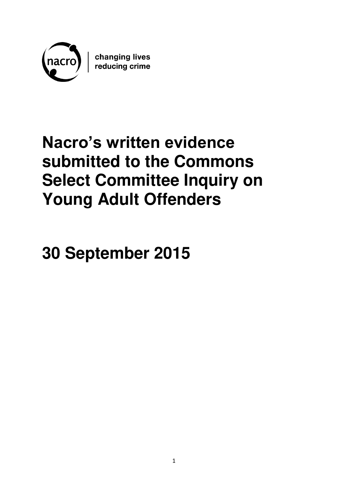

changing lives<br>reducing crime

# **Nacro's written evidence submitted to the Commons Select Committee Inquiry on Young Adult Offenders**

**30 September 2015**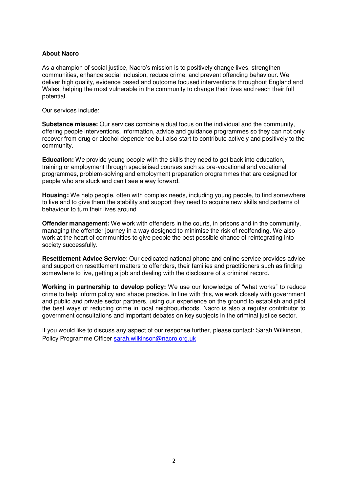# **About Nacro**

As a champion of social justice, Nacro's mission is to positively change lives, strengthen communities, enhance social inclusion, reduce crime, and prevent offending behaviour. We deliver high quality, evidence based and outcome focused interventions throughout England and Wales, helping the most vulnerable in the community to change their lives and reach their full potential.

Our services include:

**Substance misuse:** Our services combine a dual focus on the individual and the community, offering people interventions, information, advice and guidance programmes so they can not only recover from drug or alcohol dependence but also start to contribute actively and positively to the community.

**Education:** We provide young people with the skills they need to get back into education, training or employment through specialised courses such as pre-vocational and vocational programmes, problem-solving and employment preparation programmes that are designed for people who are stuck and can't see a way forward.

**Housing:** We help people, often with complex needs, including young people, to find somewhere to live and to give them the stability and support they need to acquire new skills and patterns of behaviour to turn their lives around.

**Offender management:** We work with offenders in the courts, in prisons and in the community, managing the offender journey in a way designed to minimise the risk of reoffending. We also work at the heart of communities to give people the best possible chance of reintegrating into society successfully.

**Resettlement Advice Service**: Our dedicated national phone and online service provides advice and support on resettlement matters to offenders, their families and practitioners such as finding somewhere to live, getting a job and dealing with the disclosure of a criminal record.

**Working in partnership to develop policy:** We use our knowledge of "what works" to reduce crime to help inform policy and shape practice. In line with this, we work closely with government and public and private sector partners, using our experience on the ground to establish and pilot the best ways of reducing crime in local neighbourhoods. Nacro is also a regular contributor to government consultations and important debates on key subjects in the criminal justice sector.

If you would like to discuss any aspect of our response further, please contact: Sarah Wilkinson, Policy Programme Officer [sarah.wilkinson@nacro.org.uk](mailto:sarah.wilkinson@nacro.org.uk)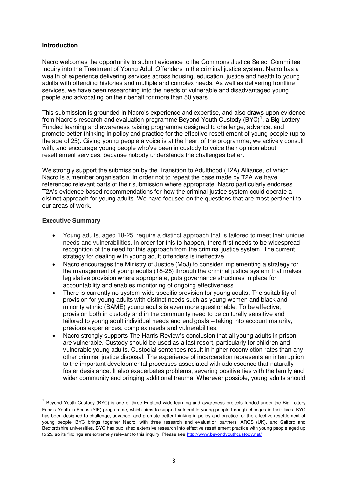# **Introduction**

Nacro welcomes the opportunity to submit evidence to the Commons Justice Select Committee Inquiry into the Treatment of Young Adult Offenders in the criminal justice system. Nacro has a wealth of experience delivering services across housing, education, justice and health to young adults with offending histories and multiple and complex needs. As well as delivering frontline services, we have been researching into the needs of vulnerable and disadvantaged young people and advocating on their behalf for more than 50 years.

This submission is grounded in Nacro's experience and expertise, and also draws upon evidence from Nacro's research and evaluation programme Beyond Youth Custody (BYC)<sup>1</sup>, a Big Lottery Funded learning and awareness raising programme designed to challenge, advance, and promote better thinking in policy and practice for the effective resettlement of young people (up to the age of 25). Giving young people a voice is at the heart of the programme; we actively consult with, and encourage young people who've been in custody to voice their opinion about resettlement services, because nobody understands the challenges better.

We strongly support the submission by the Transition to Adulthood (T2A) Alliance, of which Nacro is a member organisation. In order not to repeat the case made by T2A we have referenced relevant parts of their submission where appropriate. Nacro particularly endorses T2A's evidence based recommendations for how the criminal justice system could operate a distinct approach for young adults. We have focused on the questions that are most pertinent to our areas of work.

# **Executive Summary**

<u>.</u>

- Young adults, aged 18-25, require a distinct approach that is tailored to meet their unique needs and vulnerabilities. In order for this to happen, there first needs to be widespread recognition of the need for this approach from the criminal justice system. The current strategy for dealing with young adult offenders is ineffective.
- Nacro encourages the Ministry of Justice (MoJ) to consider implementing a strategy for the management of young adults (18-25) through the criminal justice system that makes legislative provision where appropriate, puts governance structures in place for accountability and enables monitoring of ongoing effectiveness.
- There is currently no system-wide specific provision for young adults. The suitability of provision for young adults with distinct needs such as young women and black and minority ethnic (BAME) young adults is even more questionable. To be effective, provision both in custody and in the community need to be culturally sensitive and tailored to young adult individual needs and end goals – taking into account maturity, previous experiences, complex needs and vulnerabilities.
- Nacro strongly supports The Harris Review's conclusion that all young adults in prison are vulnerable. Custody should be used as a last resort, particularly for children and vulnerable young adults. Custodial sentences result in higher reconviction rates than any other criminal justice disposal. The experience of incarceration represents an interruption to the important developmental processes associated with adolescence that naturally foster desistance. It also exacerbates problems, severing positive ties with the family and wider community and bringing additional trauma. Wherever possible, young adults should

 $<sup>1</sup>$  Beyond Youth Custody (BYC) is one of three England-wide learning and awareness projects funded under the Big Lottery</sup> Fund's Youth in Focus (YIF) programme, which aims to support vulnerable young people through changes in their lives. BYC has been designed to challenge, advance, and promote better thinking in policy and practice for the effective resettlement of young people. BYC brings together Nacro, with three research and evaluation partners, ARCS (UK), and Salford and Bedfordshire universities. BYC has published extensive research into effective resettlement practice with young people aged up to 25, so its findings are extremely relevant to this inquiry. Please see http://www.beyondyouthcustody.net/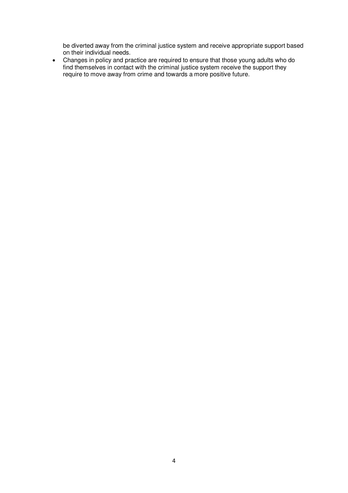be diverted away from the criminal justice system and receive appropriate support based on their individual needs.

 Changes in policy and practice are required to ensure that those young adults who do find themselves in contact with the criminal justice system receive the support they require to move away from crime and towards a more positive future.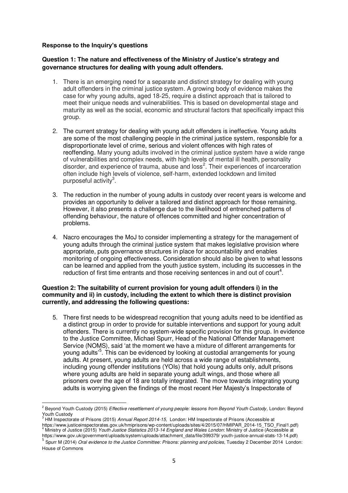# **Response to the Inquiry's questions**

<u>.</u>

# **Question 1: The nature and effectiveness of the Ministry of Justice's strategy and governance structures for dealing with young adult offenders.**

- 1. There is an emerging need for a separate and distinct strategy for dealing with young adult offenders in the criminal justice system. A growing body of evidence makes the case for why young adults, aged 18-25, require a distinct approach that is tailored to meet their unique needs and vulnerabilities. This is based on developmental stage and maturity as well as the social, economic and structural factors that specifically impact this group.
- 2. The current strategy for dealing with young adult offenders is ineffective. Young adults are some of the most challenging people in the criminal justice system, responsible for a disproportionate level of crime, serious and violent offences with high rates of reoffending. Many young adults involved in the criminal justice system have a wide range of vulnerabilities and complex needs, with high levels of mental ill health, personality disorder, and experience of trauma, abuse and loss<sup>2</sup>. Their experiences of incarceration often include high levels of violence, self-harm, extended lockdown and limited purposeful activity<sup>3</sup>.
- 3. The reduction in the number of young adults in custody over recent years is welcome and provides an opportunity to deliver a tailored and distinct approach for those remaining. However, it also presents a challenge due to the likelihood of entrenched patterns of offending behaviour, the nature of offences committed and higher concentration of problems.
- 4. Nacro encourages the MoJ to consider implementing a strategy for the management of young adults through the criminal justice system that makes legislative provision where appropriate, puts governance structures in place for accountability and enables monitoring of ongoing effectiveness. Consideration should also be given to what lessons can be learned and applied from the youth justice system, including its successes in the reduction of first time entrants and those receiving sentences in and out of court<sup>4</sup>.

# **Question 2: The suitability of current provision for young adult offenders i) in the community and ii) in custody, including the extent to which there is distinct provision currently, and addressing the following questions:**

5. There first needs to be widespread recognition that young adults need to be identified as a distinct group in order to provide for suitable interventions and support for young adult offenders. There is currently no system-wide specific provision for this group. In evidence to the Justice Committee, Michael Spurr, Head of the National Offender Management Service (NOMS), said 'at the moment we have a mixture of different arrangements for young adults'<sup>5</sup>. This can be evidenced by looking at custodial arrangements for young adults. At present, young adults are held across a wide range of establishments, including young offender institutions (YOIs) that hold young adults only, adult prisons where young adults are held in separate young adult wings, and those where all prisoners over the age of 18 are totally integrated. The move towards integrating young adults is worrying given the findings of the most recent Her Majesty's Inspectorate of

<sup>2</sup> Beyond Youth Custody (2015) *Effective resettlement of young people: lessons from Beyond Youth Custody,* London: Beyond Youth Custody 3 HM Inspectorate of Prisons (2015) *Annual Report 2014-15,* London: HM Inspectorate of Prisons (Accessible at

https://www.justiceinspectorates.gov.uk/hmiprisons/wp-content/uploads/sites/4/2015/07/HMIPAR\_2014-15\_TSO\_Final1.pdf)<br><sup>4</sup> Miniptry of Justice (2015) Youth Justice Statistice 2012-14 England and Welce Landon: Ministry of Jus Ministry of Justice (2015) *Youth Justice Statistics 2013-14 England and Wales London*: Ministry of Justice (Accessible at https://www.gov.uk/government/uploads/system/uploads/attachment\_data/file/399379/ youth-justice-annual-stats-13-14.pdf)

<sup>5</sup> Spurr M (2014) *Oral evidence to the Justice Committee: Prisons: planning and policies*, Tuesday 2 December 2014London: House of Commons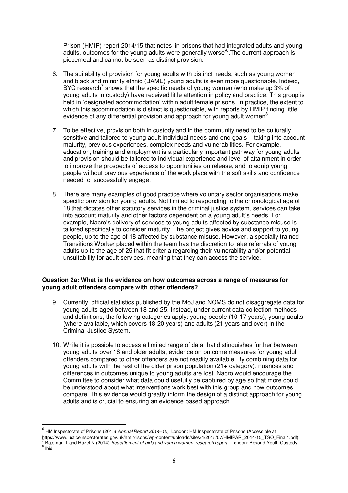Prison (HMIP) report 2014/15 that notes 'in prisons that had integrated adults and young adults, outcomes for the young adults were generally worse<sup>,6</sup>. The current approach is piecemeal and cannot be seen as distinct provision.

- 6. The suitability of provision for young adults with distinct needs, such as young women and black and minority ethnic (BAME) young adults is even more questionable. Indeed, BYC research<sup>7</sup> shows that the specific needs of young women (who make up 3% of young adults in custody) have received little attention in policy and practice. This group is held in 'designated accommodation' within adult female prisons. In practice, the extent to which this accommodation is distinct is questionable, with reports by HMIP finding little evidence of any differential provision and approach for young adult women $8$ .
- 7. To be effective, provision both in custody and in the community need to be culturally sensitive and tailored to young adult individual needs and end goals – taking into account maturity, previous experiences, complex needs and vulnerabilities. For example, education, training and employment is a particularly important pathway for young adults and provision should be tailored to individual experience and level of attainment in order to improve the prospects of access to opportunities on release, and to equip young people without previous experience of the work place with the soft skills and confidence needed to successfully engage.
- 8. There are many examples of good practice where voluntary sector organisations make specific provision for young adults. Not limited to responding to the chronological age of 18 that dictates other statutory services in the criminal justice system, services can take into account maturity and other factors dependent on a young adult's needs. For example, Nacro's delivery of services to young adults affected by substance misuse is tailored specifically to consider maturity. The project gives advice and support to young people, up to the age of 18 affected by substance misuse. However, a specially trained Transitions Worker placed within the team has the discretion to take referrals of young adults up to the age of 25 that fit criteria regarding their vulnerability and/or potential unsuitability for adult services, meaning that they can access the service.

# **Question 2a: What is the evidence on how outcomes across a range of measures for young adult offenders compare with other offenders?**

- 9. Currently, official statistics published by the MoJ and NOMS do not disaggregate data for young adults aged between 18 and 25. Instead, under current data collection methods and definitions, the following categories apply: young people (10-17 years), young adults (where available, which covers 18-20 years) and adults (21 years and over) in the Criminal Justice System.
- 10. While it is possible to access a limited range of data that distinguishes further between young adults over 18 and older adults, evidence on outcome measures for young adult offenders compared to other offenders are not readily available. By combining data for young adults with the rest of the older prison population (21+ category), nuances and differences in outcomes unique to young adults are lost. Nacro would encourage the Committee to consider what data could usefully be captured by age so that more could be understood about what interventions work best with this group and how outcomes compare. This evidence would greatly inform the design of a distinct approach for young adults and is crucial to ensuring an evidence based approach.

https://www.justiceinspectorates.gov.uk/hmiprisons/wp-content/uploads/sites/4/2015/07/HMIPAR\_2014-15\_TSO\_Final1.pdf)<br><sup>7</sup> Bateman T and Hazel N (2014) *Resettlement of girls and young women: research report,* London: Beyond

<u>.</u>

<sup>6</sup> HM Inspectorate of Prisons (2015) *Annual Report 2014–15,* London: HM Inspectorate of Prisons (Accessible at

<sup>&</sup>lt;sup>8</sup> Ibid.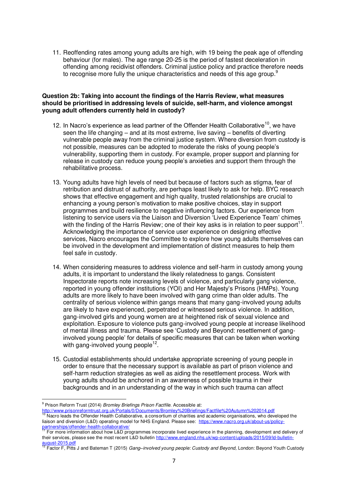11. Reoffending rates among young adults are high, with 19 being the peak age of offending behaviour (for males). The age range 20-25 is the period of fastest deceleration in offending among recidivist offenders. Criminal justice policy and practice therefore needs to recognise more fully the unique characteristics and needs of this age group.<sup>9</sup>

#### **Question 2b: Taking into account the findings of the Harris Review, what measures should be prioritised in addressing levels of suicide, self-harm, and violence amongst young adult offenders currently held in custody?**

- 12. In Nacro's experience as lead partner of the Offender Health Collaborative<sup>10</sup>, we have seen the life changing – and at its most extreme, live saving – benefits of diverting vulnerable people away from the criminal justice system. Where diversion from custody is not possible, measures can be adopted to moderate the risks of young people's vulnerability, supporting them in custody. For example, proper support and planning for release in custody can reduce young people's anxieties and support them through the rehabilitative process.
- 13. Young adults have high levels of need but because of factors such as stigma, fear of retribution and distrust of authority, are perhaps least likely to ask for help. BYC research shows that effective engagement and high quality, trusted relationships are crucial to enhancing a young person's motivation to make positive choices, stay in support programmes and build resilience to negative influencing factors. Our experience from listening to service users via the Liaison and Diversion 'Lived Experience Team' chimes with the finding of the Harris Review; one of their key asks is in relation to peer support<sup>11</sup>. Acknowledging the importance of service user experience on designing effective services, Nacro encourages the Committee to explore how young adults themselves can be involved in the development and implementation of distinct measures to help them feel safe in custody.
- 14. When considering measures to address violence and self-harm in custody among young adults, it is important to understand the likely relatedness to gangs. Consistent Inspectorate reports note increasing levels of violence, and particularly gang violence, reported in young offender institutions (YOI) and Her Majesty's Prisons (HMPs). Young adults are more likely to have been involved with gang crime than older adults. The centrality of serious violence within gangs means that many gang-involved young adults are likely to have experienced, perpetrated or witnessed serious violence. In addition, gang-involved girls and young women are at heightened risk of sexual violence and exploitation. Exposure to violence puts gang-involved young people at increase likelihood of mental illness and trauma. Please see 'Custody and Beyond: resettlement of ganginvolved young people' for details of specific measures that can be taken when working with gang-involved young people<sup>12</sup> .
- 15. Custodial establishments should undertake appropriate screening of young people in order to ensure that the necessary support is available as part of prison violence and self-harm reduction strategies as well as aiding the resettlement process. Work with young adults should be anchored in an awareness of possible trauma in their backgrounds and in an understanding of the way in which such trauma can affect

 9 Prison Reform Trust (2014) *Bromley Briefings Prison Factfile*. Accessible at:

<sup>&</sup>lt;u><http://www.prisonreformtrust.org.uk/Portals/0/Documents/Bromley%20Briefings/Factfile%20Autumn%202014.pdf></u><br><sup>10</sup> Nacro leads the Offender Health Collaborative, a consortium of charities and academic organisations, who devel liaison and diversion (L&D) operating model for NHS England. Please see: [https://www.nacro.org.uk/about-us/policy-](https://www.nacro.org.uk/about-us/policy-partnerships/offender-health-collaborative/)

partnerships/offender-health-collaborative/<br><sup>11</sup> For more information about how L&D programmes incorporate lived experience in the planning, development and delivery of their services, please see the most recent L&D bulletin [http://www.england.nhs.uk/wp-content/uploads/2015/09/ld-bulletin](http://www.england.nhs.uk/wp-content/uploads/2015/09/ld-bulletin-august-2015.pdf)[august-2015.pdf](http://www.england.nhs.uk/wp-content/uploads/2015/09/ld-bulletin-august-2015.pdf)

<sup>12</sup> Factor F, Pitts J and Bateman T (2015) *Gang–involved young people: Custody and Beyond,* London: Beyond Youth Custody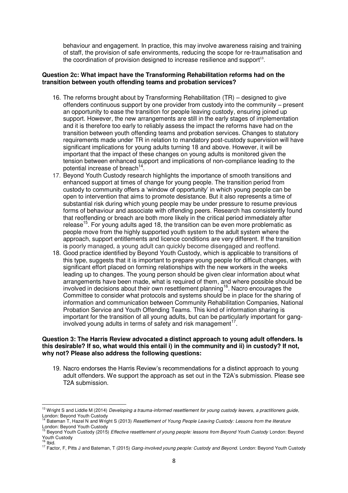behaviour and engagement. In practice, this may involve awareness raising and training of staff, the provision of safe environments, reducing the scope for re-traumatisation and the coordination of provision designed to increase resilience and support $13$ .

# **Question 2c: What impact have the Transforming Rehabilitation reforms had on the transition between youth offending teams and probation services?**

- 16. The reforms brought about by Transforming Rehabilitation (TR) designed to give offenders continuous support by one provider from custody into the community – present an opportunity to ease the transition for people leaving custody, ensuring joined up support. However, the new arrangements are still in the early stages of implementation and it is therefore too early to reliably assess the impact the reforms have had on the transition between youth offending teams and probation services. Changes to statutory requirements made under TR in relation to mandatory post-custody supervision will have significant implications for young adults turning 18 and above. However, it will be important that the impact of these changes on young adults is monitored given the tension between enhanced support and implications of non-compliance leading to the potential increase of breach<sup>14</sup>.
- 17. Beyond Youth Custody research highlights the importance of smooth transitions and enhanced support at times of change for young people. The transition period from custody to community offers a 'window of opportunity' in which young people can be open to intervention that aims to promote desistance. But it also represents a time of substantial risk during which young people may be under pressure to resume previous forms of behaviour and associate with offending peers. Research has consistently found that reoffending or breach are both more likely in the critical period immediately after release<sup>15</sup>. For young adults aged 18, the transition can be even more problematic as people move from the highly supported youth system to the adult system where the approach, support entitlements and licence conditions are very different. If the transition is poorly managed, a young adult can quickly become disengaged and reoffend.
- 18. Good practice identified by Beyond Youth Custody, which is applicable to transitions of this type, suggests that it is important to prepare young people for difficult changes, with significant effort placed on forming relationships with the new workers in the weeks leading up to changes. The young person should be given clear information about what arrangements have been made, what is required of them, and where possible should be involved in decisions about their own resettlement planning<sup>16</sup>. Nacro encourages the Committee to consider what protocols and systems should be in place for the sharing of information and communication between Community Rehabilitation Companies, National Probation Service and Youth Offending Teams. This kind of information sharing is important for the transition of all young adults, but can be particularly important for ganginvolved young adults in terms of safety and risk management<sup>17</sup>.

# **Question 3: The Harris Review advocated a distinct approach to young adult offenders. Is this desirable? If so, what would this entail i) in the community and ii) in custody? If not, why not? Please also address the following questions:**

19. Nacro endorses the Harris Review's recommendations for a distinct approach to young adult offenders. We support the approach as set out in the T2A's submission. Please see T2A submission.

-

<sup>13</sup> Wright S and Liddle M (2014) *Developing a trauma-informed resettlement for young custody leavers, a practitioners guide*, London: Beyond Youth Custody

<sup>14</sup> Bateman T, Hazel N and Wright S (2013) *Resettlement of Young People Leaving Custody: Lessons from the literature*  London: Beyond Youth Custody

<sup>15</sup> Beyond Youth Custody (2015) *Effective resettlement of young people: lessons from Beyond Youth Custody* London: Beyond Youth Custody <sup>16</sup> Ibid.

<sup>17</sup> Factor, F, Pitts J and Bateman, T (2015) *Gang-involved young people: Custody and Beyond.* London: Beyond Youth Custody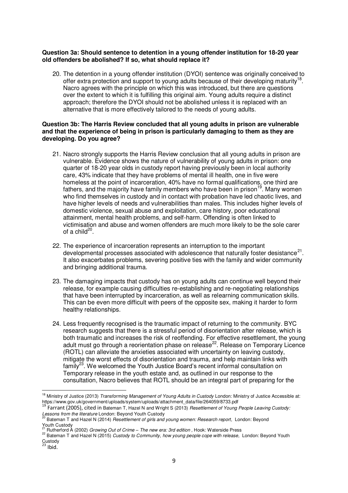# **Question 3a: Should sentence to detention in a young offender institution for 18-20 year old offenders be abolished? If so, what should replace it?**

20. The detention in a young offender institution (DYOI) sentence was originally conceived to offer extra protection and support to young adults because of their developing maturity<sup>18</sup>. Nacro agrees with the principle on which this was introduced, but there are questions over the extent to which it is fulfilling this original aim. Young adults require a distinct approach; therefore the DYOI should not be abolished unless it is replaced with an alternative that is more effectively tailored to the needs of young adults.

# **Question 3b: The Harris Review concluded that all young adults in prison are vulnerable and that the experience of being in prison is particularly damaging to them as they are developing. Do you agree?**

- 21. Nacro strongly supports the Harris Review conclusion that all young adults in prison are vulnerable. Evidence shows the nature of vulnerability of young adults in prison: one quarter of 18-20 year olds in custody report having previously been in local authority care, 43% indicate that they have problems of mental ill health, one in five were homeless at the point of incarceration, 40% have no formal qualifications, one third are fathers, and the majority have family members who have been in prison<sup>19</sup>. Many women who find themselves in custody and in contact with probation have led chaotic lives, and have higher levels of needs and vulnerabilities than males. This includes higher levels of domestic violence, sexual abuse and exploitation, care history, poor educational attainment, mental health problems, and self-harm. Offending is often linked to victimisation and abuse and women offenders are much more likely to be the sole carer of a child<sup>20</sup>.
- 22. The experience of incarceration represents an interruption to the important developmental processes associated with adolescence that naturally foster desistance<sup>21</sup>. It also exacerbates problems, severing positive ties with the family and wider community and bringing additional trauma.
- 23. The damaging impacts that custody has on young adults can continue well beyond their release, for example causing difficulties re-establishing and re-negotiating relationships that have been interrupted by incarceration, as well as relearning communication skills. This can be even more difficult with peers of the opposite sex, making it harder to form healthy relationships.
- 24. Less frequently recognised is the traumatic impact of returning to the community. BYC research suggests that there is a stressful period of disorientation after release, which is both traumatic and increases the risk of reoffending. For effective resettlement, the young adult must go through a reorientation phase on release<sup>22</sup>. Release on Temporary Licence (ROTL) can alleviate the anxieties associated with uncertainty on leaving custody, mitigate the worst effects of disorientation and trauma, and help maintain links with family<sup>23</sup>. We welcomed the Youth Justice Board's recent informal consultation on Temporary release in the youth estate and, as outlined in our response to the consultation, Nacro believes that ROTL should be an integral part of preparing for the

<u>.</u>

<sup>&</sup>lt;sup>18</sup> Ministry of Justice (2013) *Transforming Management of Young Adults in Custody* London: Ministry of Justice Accessible at: https://www.gov.uk/government/uploads/system/uploads/attachment\_data/file/264059/8733.pdf <sup>19</sup> Farrant (2005), cited in Bateman T, Hazel N and Wright S (2013) *Resettlement of Young People Leaving Custody:* 

*Lessons from the literature* London: Beyond Youth Custody <sup>20</sup> Bateman T and Hazel N (2014) *Resettlement of girls and young women: Research report,* London: Beyond

Youth Custody

<sup>21</sup> Rutherford A (2002) *Growing Out of Crime – The new era: 3rd edition ,* Hook: Waterside Press

<sup>22</sup> Bateman T and Hazel N (2015) *Custody to Community, how young people cope with release,* London: Beyond Youth Custody<br><sup>23</sup> Ibid.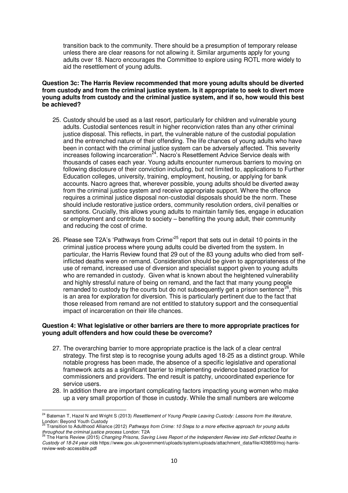transition back to the community. There should be a presumption of temporary release unless there are clear reasons for not allowing it. Similar arguments apply for young adults over 18. Nacro encourages the Committee to explore using ROTL more widely to aid the resettlement of young adults.

# **Question 3c: The Harris Review recommended that more young adults should be diverted from custody and from the criminal justice system. Is it appropriate to seek to divert more young adults from custody and the criminal justice system, and if so, how would this best be achieved?**

- 25. Custody should be used as a last resort, particularly for children and vulnerable young adults. Custodial sentences result in higher reconviction rates than any other criminal justice disposal. This reflects, in part, the vulnerable nature of the custodial population and the entrenched nature of their offending. The life chances of young adults who have been in contact with the criminal justice system can be adversely affected. This severity increases following incarceration<sup>24</sup>. Nacro's Resettlement Advice Service deals with thousands of cases each year. Young adults encounter numerous barriers to moving on following disclosure of their conviction including, but not limited to, applications to Further Education colleges, university, training, employment, housing, or applying for bank accounts. Nacro agrees that, wherever possible, young adults should be diverted away from the criminal justice system and receive appropriate support. Where the offence requires a criminal justice disposal non-custodial disposals should be the norm. These should include restorative justice orders, community resolution orders, civil penalties or sanctions. Crucially, this allows young adults to maintain family ties, engage in education or employment and contribute to society – benefiting the young adult, their community and reducing the cost of crime.
- 26. Please see T2A's 'Pathways from Crime<sup>25</sup> report that sets out in detail 10 points in the criminal justice process where young adults could be diverted from the system. In particular, the Harris Review found that 29 out of the 83 young adults who died from selfinflicted deaths were on remand. Consideration should be given to appropriateness of the use of remand, increased use of diversion and specialist support given to young adults who are remanded in custody. Given what is known about the heightened vulnerability and highly stressful nature of being on remand, and the fact that many young people remanded to custody by the courts but do not subsequently get a prison sentence<sup>26</sup>, this is an area for exploration for diversion. This is particularly pertinent due to the fact that those released from remand are not entitled to statutory support and the consequential impact of incarceration on their life chances.

#### **Question 4: What legislative or other barriers are there to more appropriate practices for young adult offenders and how could these be overcome?**

- 27. The overarching barrier to more appropriate practice is the lack of a clear central strategy. The first step is to recognise young adults aged 18-25 as a distinct group. While notable progress has been made, the absence of a specific legislative and operational framework acts as a significant barrier to implementing evidence based practice for commissioners and providers. The end result is patchy, uncoordinated experience for service users.
- 28. In addition there are important complicating factors impacting young women who make up a very small proportion of those in custody. While the small numbers are welcome

-

<sup>&</sup>lt;sup>24</sup> Bateman T, Hazel N and Wright S (2013) *Resettlement of Young People Leaving Custody: Lessons from the literature,* London: Beyond Youth Custody <sup>25</sup> Transition to Adulthood Alliance (2012) *Pathways from Crime: 10 Steps to a more effective approach for young adults* 

*throughout the criminal justice process* London: T2A <sup>26</sup> The Harris Review (2015) *Changing Prisons, Saving Lives Report of the Independent Review into Self-inflicted Deaths in* 

*Custody of 18-24 year olds* https://www.gov.uk/government/uploads/system/uploads/attachment\_data/file/439859/moj-harrisreview-web-accessible.pdf